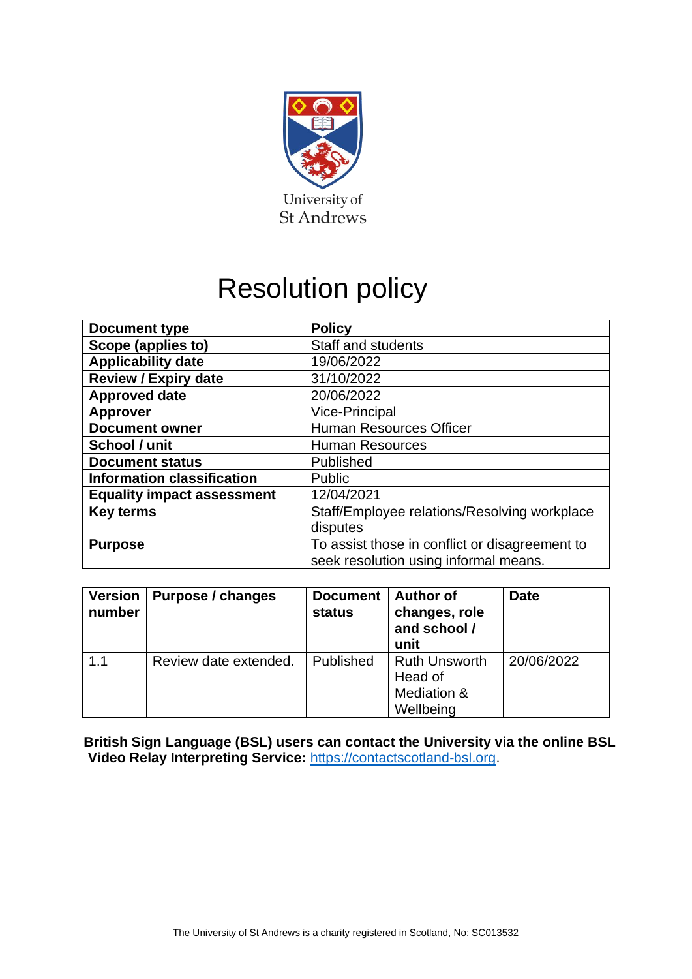

# Resolution policy

| <b>Document type</b>              | <b>Policy</b>                                  |  |
|-----------------------------------|------------------------------------------------|--|
| Scope (applies to)                | <b>Staff and students</b>                      |  |
| <b>Applicability date</b>         | 19/06/2022                                     |  |
| <b>Review / Expiry date</b>       | 31/10/2022                                     |  |
| <b>Approved date</b>              | 20/06/2022                                     |  |
| <b>Approver</b>                   | <b>Vice-Principal</b>                          |  |
| <b>Document owner</b>             | <b>Human Resources Officer</b>                 |  |
| School / unit                     | <b>Human Resources</b>                         |  |
| <b>Document status</b>            | Published                                      |  |
| <b>Information classification</b> | Public                                         |  |
| <b>Equality impact assessment</b> | 12/04/2021                                     |  |
| <b>Key terms</b>                  | Staff/Employee relations/Resolving workplace   |  |
|                                   | disputes                                       |  |
| <b>Purpose</b>                    | To assist those in conflict or disagreement to |  |
|                                   | seek resolution using informal means.          |  |

| <b>Version</b><br>number | Purpose / changes     | <b>Document</b><br><b>status</b> | <b>Author of</b><br>changes, role<br>and school /<br>unit   | <b>Date</b> |
|--------------------------|-----------------------|----------------------------------|-------------------------------------------------------------|-------------|
| 1.1                      | Review date extended. | Published                        | <b>Ruth Unsworth</b><br>Head of<br>Mediation &<br>Wellbeing | 20/06/2022  |

**British Sign Language (BSL) users can contact the University via the online BSL Video Relay Interpreting Service:** [https://contactscotland-bsl.org.](https://contactscotland-bsl.org/)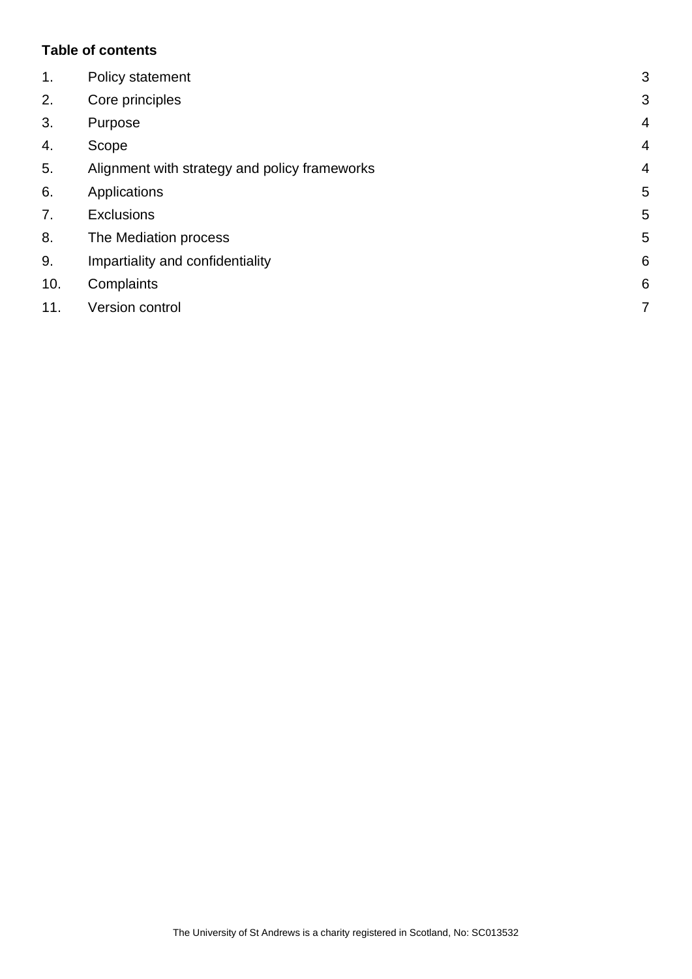## **Table of contents**

| 1.  | Policy statement                              | 3              |
|-----|-----------------------------------------------|----------------|
| 2.  | Core principles                               | 3              |
| 3.  | Purpose                                       | $\overline{4}$ |
| 4.  | Scope                                         | $\overline{4}$ |
| 5.  | Alignment with strategy and policy frameworks | $\overline{4}$ |
| 6.  | Applications                                  | 5              |
| 7.  | <b>Exclusions</b>                             | 5              |
| 8.  | The Mediation process                         | 5              |
| 9.  | Impartiality and confidentiality              | 6              |
| 10. | Complaints                                    | 6              |
| 11. | Version control                               | 7              |
|     |                                               |                |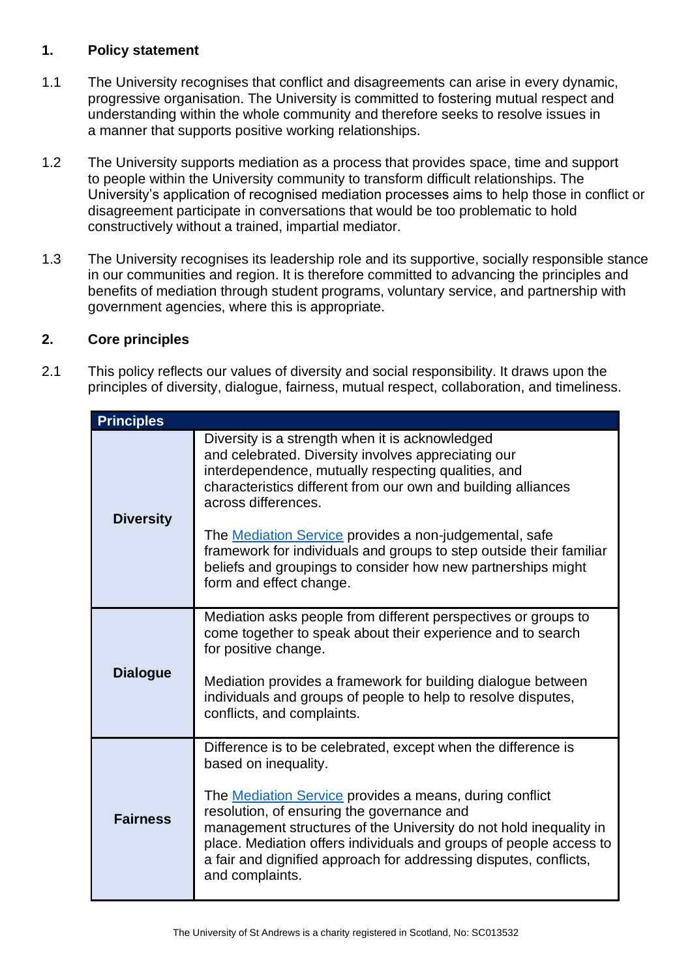#### <span id="page-2-0"></span>**1. Policy statement**

- 1.1 The University recognises that conflict and disagreements can arise in every dynamic, progressive organisation. The University is committed to fostering mutual respect and understanding within the whole community and therefore seeks to resolve issues in a manner that supports positive working relationships.
- 1.2 The University supports mediation as a process that provides space, time and support to people within the University community to transform difficult relationships. The University's application of recognised mediation processes aims to help those in conflict or disagreement participate in conversations that would be too problematic to hold constructively without a trained, impartial mediator.
- 1.3 The University recognises its leadership role and its supportive, socially responsible stance in our communities and region. It is therefore committed to advancing the principles and benefits of mediation through student programs, voluntary service, and partnership with government agencies, where this is appropriate.

# <span id="page-2-1"></span>**2. Core principles**

2.1 This policy reflects our values of diversity and social responsibility. It draws upon the principles of diversity, dialogue, fairness, mutual respect, collaboration, and timeliness.

| <b>Principles</b> |                                                                                                                                                                                                                                                                                                                                                                                                                                          |  |
|-------------------|------------------------------------------------------------------------------------------------------------------------------------------------------------------------------------------------------------------------------------------------------------------------------------------------------------------------------------------------------------------------------------------------------------------------------------------|--|
| <b>Diversity</b>  | Diversity is a strength when it is acknowledged<br>and celebrated. Diversity involves appreciating our<br>interdependence, mutually respecting qualities, and<br>characteristics different from our own and building alliances<br>across differences.                                                                                                                                                                                    |  |
|                   | The <b>Mediation Service</b> provides a non-judgemental, safe<br>framework for individuals and groups to step outside their familiar<br>beliefs and groupings to consider how new partnerships might<br>form and effect change.                                                                                                                                                                                                          |  |
| <b>Dialogue</b>   | Mediation asks people from different perspectives or groups to<br>come together to speak about their experience and to search<br>for positive change.<br>Mediation provides a framework for building dialogue between<br>individuals and groups of people to help to resolve disputes,<br>conflicts, and complaints.                                                                                                                     |  |
| <b>Fairness</b>   | Difference is to be celebrated, except when the difference is<br>based on inequality.<br>The <b>Mediation Service</b> provides a means, during conflict<br>resolution, of ensuring the governance and<br>management structures of the University do not hold inequality in<br>place. Mediation offers individuals and groups of people access to<br>a fair and dignified approach for addressing disputes, conflicts,<br>and complaints. |  |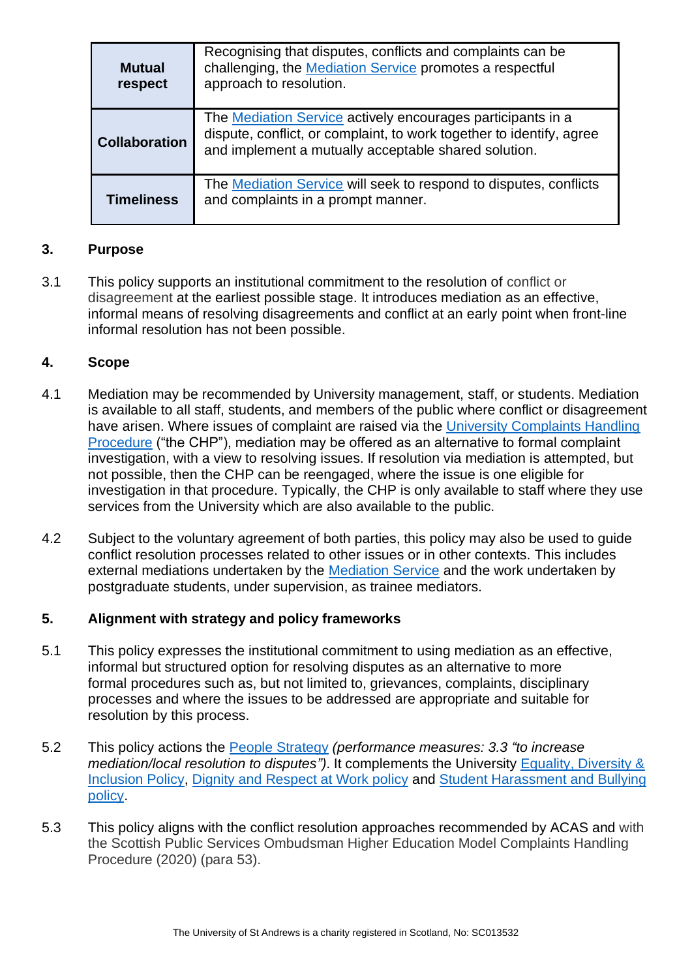| <b>Mutual</b><br>respect | Recognising that disputes, conflicts and complaints can be<br>challenging, the Mediation Service promotes a respectful<br>approach to resolution.                                           |  |  |
|--------------------------|---------------------------------------------------------------------------------------------------------------------------------------------------------------------------------------------|--|--|
| <b>Collaboration</b>     | The Mediation Service actively encourages participants in a<br>dispute, conflict, or complaint, to work together to identify, agree<br>and implement a mutually acceptable shared solution. |  |  |
| <b>Timeliness</b>        | The Mediation Service will seek to respond to disputes, conflicts<br>and complaints in a prompt manner.                                                                                     |  |  |

## <span id="page-3-0"></span>**3. Purpose**

3.1 This policy supports an institutional commitment to the resolution of conflict or disagreement at the earliest possible stage. It introduces mediation as an effective, informal means of resolving disagreements and conflict at an early point when front-line informal resolution has not been possible.

## <span id="page-3-1"></span>**4. Scope**

- 4.1 Mediation may be recommended by University management, staff, or students. Mediation is available to all staff, students, and members of the public where conflict or disagreement have arisen. Where issues of complaint are raised via the [University Complaints Handling](https://www.st-andrews.ac.uk/terms/complaints/)  [Procedure](https://www.st-andrews.ac.uk/terms/complaints/) ("the CHP"), mediation may be offered as an alternative to formal complaint investigation, with a view to resolving issues. If resolution via mediation is attempted, but not possible, then the CHP can be reengaged, where the issue is one eligible for investigation in that procedure. Typically, the CHP is only available to staff where they use services from the University which are also available to the public.
- 4.2 Subject to the voluntary agreement of both parties, this policy may also be used to guide conflict resolution processes related to other issues or in other contexts. This includes external mediations undertaken by the [Mediation Service](https://www.st-andrews.ac.uk/hr/edi/mediation/) and the work undertaken by postgraduate students, under supervision, as trainee mediators.

#### <span id="page-3-2"></span>**5. Alignment with strategy and policy frameworks**

- 5.1 This policy expresses the institutional commitment to using mediation as an effective, informal but structured option for resolving disputes as an alternative to more formal procedures such as, but not limited to, grievances, complaints, disciplinary processes and where the issues to be addressed are appropriate and suitable for resolution by this process.
- 5.2 This policy actions the [People Strategy](https://www.st-andrews.ac.uk/assets/university/about/documents/governance/restricted/university-strategy/people-strategy.pdf) *(performance measures: 3.3 "to increase mediation/local resolution to disputes")*. It complements the University [Equality, Diversity &](https://www.st-andrews.ac.uk/policy/staff-equality-diversity-and-inclusion-review/equality-policy.pdf)  [Inclusion Policy,](https://www.st-andrews.ac.uk/policy/staff-equality-diversity-and-inclusion-review/equality-policy.pdf) [Dignity and Respect at Work policy](https://www.st-andrews.ac.uk/policy/staff-employee-relations-dignity-and-respect/dignity-and-respect-at-work-policy.pdf) and Student [Harassment and](https://www.st-andrews.ac.uk/policy/student-administration-non-academic-discipline/student-harassment-and-bullying-policy.pdf) Bullying [policy.](https://www.st-andrews.ac.uk/policy/student-administration-non-academic-discipline/student-harassment-and-bullying-policy.pdf)
- 5.3 This policy aligns with the conflict resolution approaches recommended by ACAS and with the Scottish Public Services Ombudsman Higher Education Model Complaints Handling Procedure (2020) (para 53).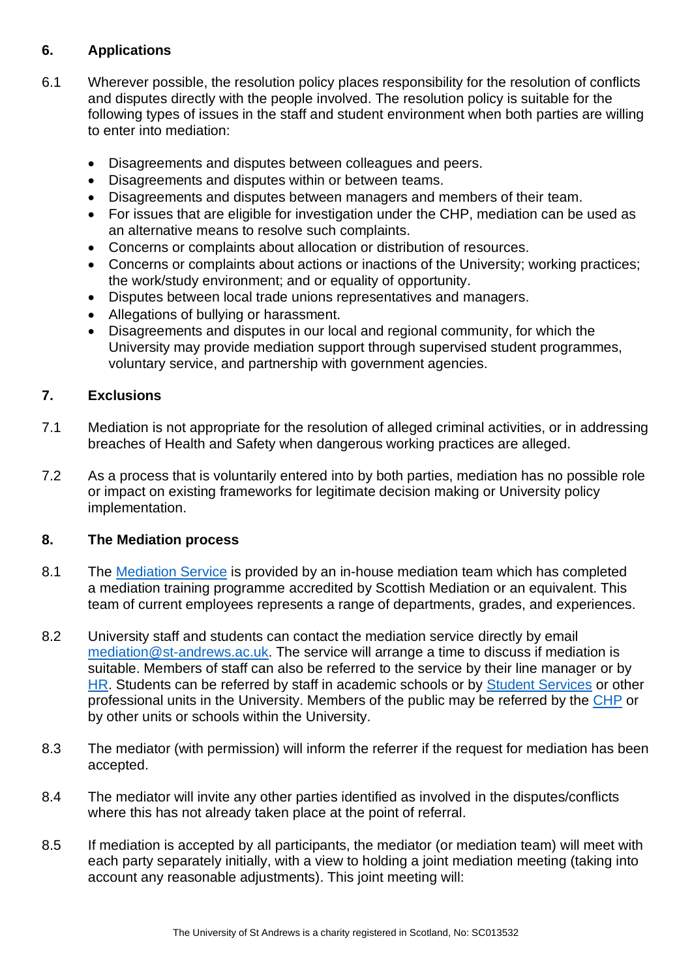# <span id="page-4-0"></span>**6. Applications**

- 6.1 Wherever possible, the resolution policy places responsibility for the resolution of conflicts and disputes directly with the people involved. The resolution policy is suitable for the following types of issues in the staff and student environment when both parties are willing to enter into mediation:
	- Disagreements and disputes between colleagues and peers.
	- Disagreements and disputes within or between teams.
	- Disagreements and disputes between managers and members of their team.
	- For issues that are eligible for investigation under the CHP, mediation can be used as an alternative means to resolve such complaints.
	- Concerns or complaints about allocation or distribution of resources.
	- Concerns or complaints about actions or inactions of the University; working practices; the work/study environment; and or equality of opportunity.
	- Disputes between local trade unions representatives and managers.
	- Allegations of bullying or harassment.
	- Disagreements and disputes in our local and regional community, for which the University may provide mediation support through supervised student programmes, voluntary service, and partnership with government agencies.

# <span id="page-4-1"></span>**7. Exclusions**

- 7.1 Mediation is not appropriate for the resolution of alleged criminal activities, or in addressing breaches of Health and Safety when dangerous working practices are alleged.
- 7.2 As a process that is voluntarily entered into by both parties, mediation has no possible role or impact on existing frameworks for legitimate decision making or University policy implementation.

#### <span id="page-4-2"></span>**8. The Mediation process**

- 8.1 The [Mediation](https://www.st-andrews.ac.uk/hr/edi/mediation/) Service is provided by an in-house mediation team which has completed a mediation training programme accredited by Scottish Mediation or an equivalent. This team of current employees represents a range of departments, grades, and experiences.
- 8.2 University staff and students can contact the mediation service directly by email [mediation@st-andrews.ac.uk.](mailto:mediation@st-andrews.ac.uk) The service will arrange a time to discuss if mediation is suitable. Members of staff can also be referred to the service by their line manager or by [HR.](https://www.st-andrews.ac.uk/hr/businesspartner/) Students can be referred by staff in academic schools or by [Student Services](https://www.st-andrews.ac.uk/student-services/) or other professional units in the University. Members of the public may be referred by the [CHP](https://www.st-andrews.ac.uk/terms/complaints/) or by other units or schools within the University.
- 8.3 The mediator (with permission) will inform the referrer if the request for mediation has been accepted.
- 8.4 The mediator will invite any other parties identified as involved in the disputes/conflicts where this has not already taken place at the point of referral.
- 8.5 If mediation is accepted by all participants, the mediator (or mediation team) will meet with each party separately initially, with a view to holding a joint mediation meeting (taking into account any reasonable adjustments). This joint meeting will: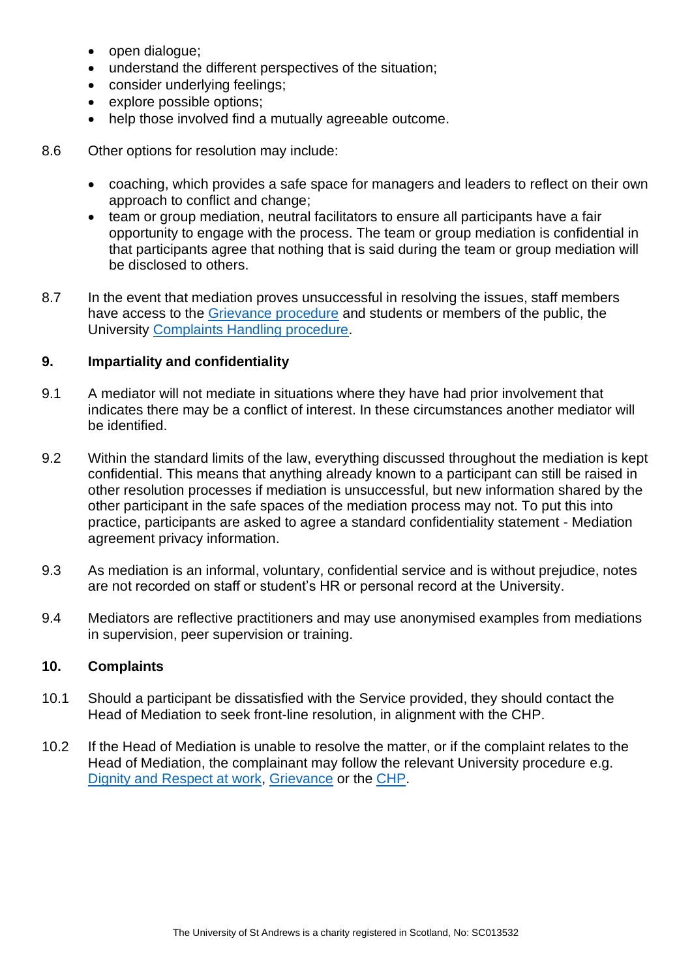- open dialogue;
- understand the different perspectives of the situation;
- consider underlying feelings;
- explore possible options;
- help those involved find a mutually agreeable outcome.
- 8.6 Other options for resolution may include:
	- coaching, which provides a safe space for managers and leaders to reflect on their own approach to conflict and change;
	- team or group mediation, neutral facilitators to ensure all participants have a fair opportunity to engage with the process. The team or group mediation is confidential in that participants agree that nothing that is said during the team or group mediation will be disclosed to others.
- 8.7 In the event that mediation proves unsuccessful in resolving the issues, staff members have access to the [Grievance procedure](https://www.st-andrews.ac.uk/policy/staff-employee-relations-resolving-workplace-disputes/grievance-policy.pdf) and students or members of the public, the University [Complaints Handling procedure.](https://www.st-andrews.ac.uk/terms/complaints/)

## <span id="page-5-0"></span>**9. Impartiality and confidentiality**

- 9.1 A mediator will not mediate in situations where they have had prior involvement that indicates there may be a conflict of interest. In these circumstances another mediator will be identified.
- 9.2 Within the standard limits of the law, everything discussed throughout the mediation is kept confidential. This means that anything already known to a participant can still be raised in other resolution processes if mediation is unsuccessful, but new information shared by the other participant in the safe spaces of the mediation process may not. To put this into practice, participants are asked to agree a standard confidentiality statement - Mediation agreement privacy information.
- 9.3 As mediation is an informal, voluntary, confidential service and is without prejudice, notes are not recorded on staff or student's HR or personal record at the University.
- 9.4 Mediators are reflective practitioners and may use anonymised examples from mediations in supervision, peer supervision or training.

#### <span id="page-5-1"></span>**10. Complaints**

- 10.1 Should a participant be dissatisfied with the Service provided, they should contact the Head of Mediation to seek front-line resolution, in alignment with the CHP.
- 10.2 If the Head of Mediation is unable to resolve the matter, or if the complaint relates to the Head of Mediation, the complainant may follow the relevant University procedure e.g. [Dignity and Respect at work,](https://www.st-andrews.ac.uk/policy/staff-employee-relations-dignity-and-respect/dignity-and-respect-at-work-policy.pdf) [Grievance](https://www.st-andrews.ac.uk/policy/staff-employee-relations-resolving-workplace-disputes/grievance-policy.pdf) or the [CHP.](https://www.st-andrews.ac.uk/terms/complaints/)